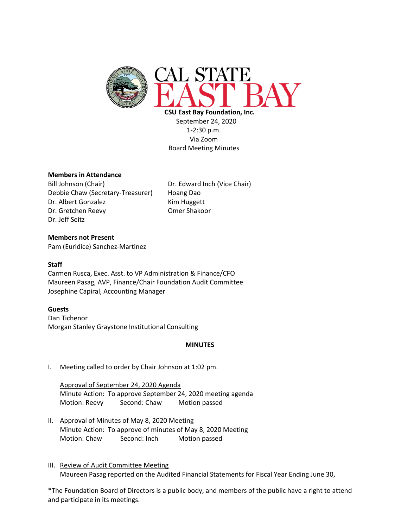

 **CSU East Bay Foundation, Inc.** September 24, 2020 1-2:30 p.m. Via Zoom Board Meeting Minutes

## **Members in Attendance**

Bill Johnson (Chair) Dr. Edward Inch (Vice Chair) Debbie Chaw (Secretary-Treasurer) Hoang Dao Dr. Albert Gonzalez Kim Huggett Dr. Gretchen Reevy **Omer Shakoor** Dr. Jeff Seitz

### **Members not Present**

Pam (Euridice) Sanchez-Martinez

#### **Staff**

Carmen Rusca, Exec. Asst. to VP Administration & Finance/CFO Maureen Pasag, AVP, Finance/Chair Foundation Audit Committee Josephine Capiral, Accounting Manager

#### **Guests**

Dan Tichenor Morgan Stanley Graystone Institutional Consulting

#### **MINUTES**

I. Meeting called to order by Chair Johnson at 1:02 pm.

Approval of September 24, 2020 Agenda Minute Action: To approve September 24, 2020 meeting agenda Motion: Reevy Second: Chaw Motion passed

- II. Approval of Minutes of May 8, 2020 Meeting Minute Action: To approve of minutes of May 8, 2020 Meeting Motion: Chaw Second: Inch Motion passed
- III. Review of Audit Committee Meeting Maureen Pasag reported on the Audited Financial Statements for Fiscal Year Ending June 30,

\*The Foundation Board of Directors is a public body, and members of the public have a right to attend and participate in its meetings.